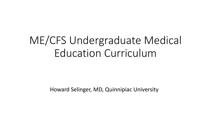#### ME/CFS Undergraduate Medical Education Curriculum

Howard Selinger, MD, Quinnipiac University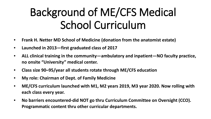### Background of ME/CFS Medical School Curriculum

- **Frank H. Netter MD School of Medicine (donation from the anatomist estate)**
- **Launched in 2013—first graduated class of 2017**
- **ALL clinical training in the community—ambulatory and inpatient—NO faculty practice, no onsite "University" medical center.**
- **Class size 90–95/year all students rotate through ME/CFS education**
- **My role: Chairman of Dept. of Family Medicine**
- **ME/CFS curriculum launched with M1, M2 years 2019, M3 year 2020. Now rolling with each class every year.**
- **No barriers encountered-did NOT go thru Curriculum Committee on Oversight (CCO). Programmatic content thru other curricular departments.**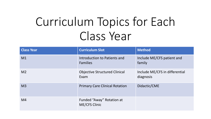## Curriculum Topics for Each Class Year

| <b>Class Year</b> | <b>Curriculum Slot</b>                            | <b>Method</b>                               |
|-------------------|---------------------------------------------------|---------------------------------------------|
| M1                | Introduction to Patients and<br><b>Families</b>   | Include ME/CFS patient and<br>family        |
| M <sub>2</sub>    | <b>Objective Structured Clinical</b><br>Exam      | Include ME/CFS in differential<br>diagnosis |
| M <sub>3</sub>    | <b>Primary Care Clinical Rotation</b>             | Didactic/CME                                |
| M4                | Funded "Away" Rotation at<br><b>ME/CFS Clinic</b> |                                             |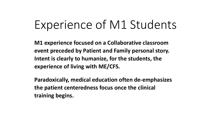#### Experience of M1 Students

**M1 experience focused on a Collaborative classroom event preceded by Patient and Family personal story. Intent is clearly to humanize, for the students, the experience of living with ME/CFS.**

**Paradoxically, medical education often de-emphasizes the patient centeredness focus once the clinical training begins.**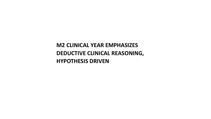**M2 CLINICAL YEAR EMPHASIZES DEDUCTIVE CLINICAL REASONING, HYPOTHESIS DRIVEN**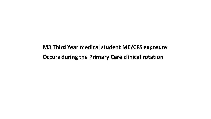**M3 Third Year medical student ME/CFS exposure Occurs during the Primary Care clinical rotation**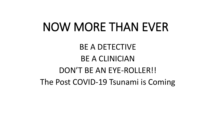### NOW MORE THAN EVER

#### BE A DETECTIVE BE A CLINICIAN DON'T BE AN EYE-ROLLER!! The Post COVID-19 Tsunami is Coming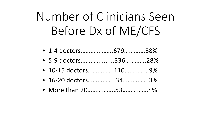# Number of Clinicians Seen Before Dx of ME/CFS

- 1-4 doctors………………..679………….58%
- 5-9 doctors…………........336………….28%
- 10-15 doctors…………….110……………9%
- 16-20 doctors……………..34…………….3%
- More than 20………………53………………4%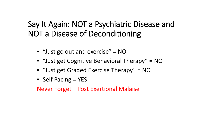#### Say It Again: NOT a Psychiatric Disease and NOT a Disease of Deconditioning

- "Just go out and exercise" = NO
- "Just get Cognitive Behavioral Therapy" = NO
- "Just get Graded Exercise Therapy" = NO
- Self Pacing = YES

Never Forget—Post Exertional Malaise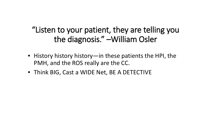"Listen to your patient, they are telling you the diagnosis." –William Osler

- History history history—in these patients the HPI, the PMH, and the ROS really are the CC.
- Think BIG, Cast a WIDE Net, BE A DETECTIVE